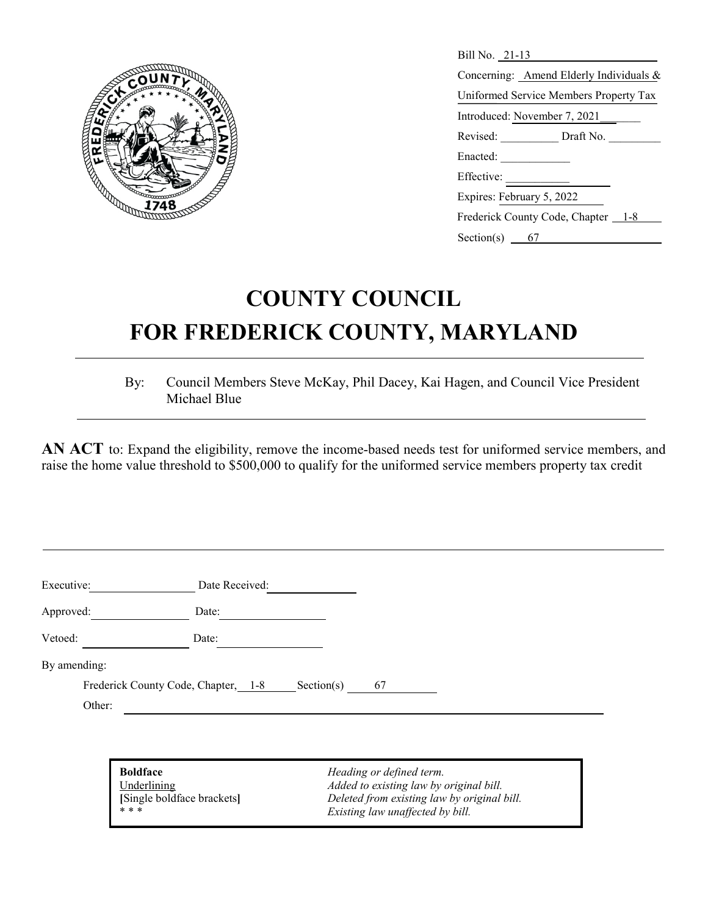

| Bill No. 21-13                          |
|-----------------------------------------|
| Concerning: Amend Elderly Individuals & |
| Uniformed Service Members Property Tax  |
| Introduced: November 7, 2021            |
| Revised: Draft No.                      |
| Enacted:                                |
| Effective: _________                    |
| Expires: February 5, 2022               |
| Frederick County Code, Chapter 1-8      |
| Section(s) $\frac{67}{2}$               |

## **COUNTY COUNCIL FOR FREDERICK COUNTY, MARYLAND**

By: Council Members Steve McKay, Phil Dacey, Kai Hagen, and Council Vice President Michael Blue

AN ACT to: Expand the eligibility, remove the income-based needs test for uniformed service members, and raise the home value threshold to \$500,000 to qualify for the uniformed service members property tax credit

| Date:                               |    |            |  |
|-------------------------------------|----|------------|--|
|                                     |    |            |  |
| Date:                               |    |            |  |
|                                     |    |            |  |
| Frederick County Code, Chapter, 1-8 | 67 |            |  |
|                                     |    |            |  |
|                                     |    | Section(s) |  |

**Boldface** *Heading or defined term.*

Underlining *Added to existing law by original bill.* **Example boldface brackets** *Deleted from existing law by original bill.*<br> **Existing law unaffected by bill.**  $Existing$  law unaffected by bill.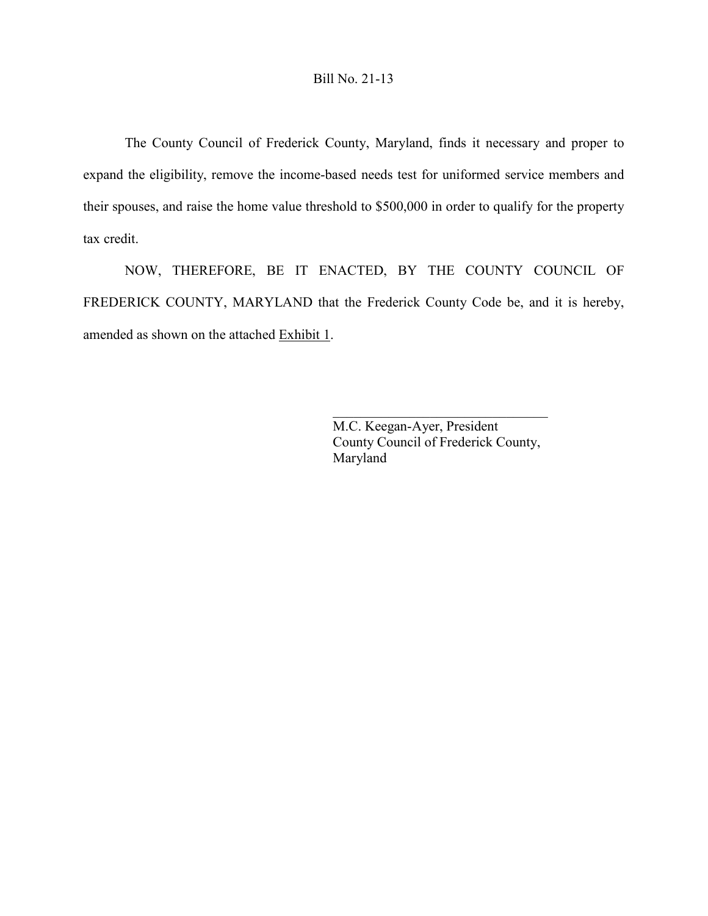The County Council of Frederick County, Maryland, finds it necessary and proper to expand the eligibility, remove the income-based needs test for uniformed service members and their spouses, and raise the home value threshold to \$500,000 in order to qualify for the property tax credit.

NOW, THEREFORE, BE IT ENACTED, BY THE COUNTY COUNCIL OF FREDERICK COUNTY, MARYLAND that the Frederick County Code be, and it is hereby, amended as shown on the attached Exhibit 1.

> M.C. Keegan-Ayer, President County Council of Frederick County, Maryland

 $\mathcal{L}_\mathcal{L}$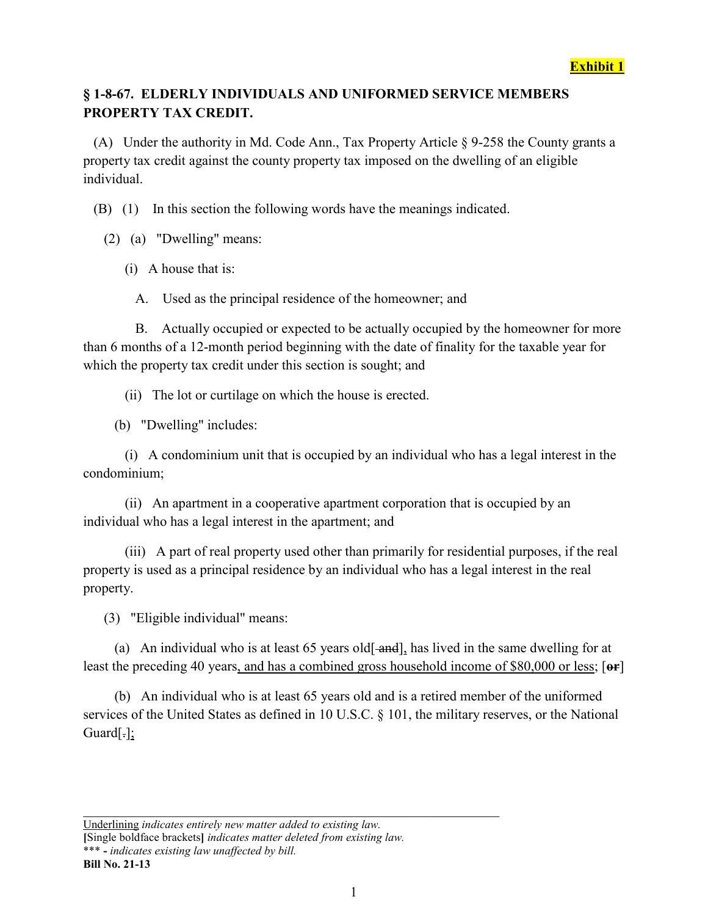## **§ 1-8-67. ELDERLY INDIVIDUALS AND UNIFORMED SERVICE MEMBERS PROPERTY TAX CREDIT.**

 (A) Under the authority in Md. Code Ann., Tax Property Article § 9-258 the County grants a property tax credit against the county property tax imposed on the dwelling of an eligible individual.

(B) (1) In this section the following words have the meanings indicated.

(2) (a) "Dwelling" means:

(i) A house that is:

A. Used as the principal residence of the homeowner; and

 B. Actually occupied or expected to be actually occupied by the homeowner for more than 6 months of a 12-month period beginning with the date of finality for the taxable year for which the property tax credit under this section is sought; and

(ii) The lot or curtilage on which the house is erected.

(b) "Dwelling" includes:

 (i) A condominium unit that is occupied by an individual who has a legal interest in the condominium;

 (ii) An apartment in a cooperative apartment corporation that is occupied by an individual who has a legal interest in the apartment; and

 (iii) A part of real property used other than primarily for residential purposes, if the real property is used as a principal residence by an individual who has a legal interest in the real property.

(3) "Eligible individual" means:

(a) An individual who is at least  $65$  years old<sup>[-</sup> $and$ ], has lived in the same dwelling for at least the preceding 40 years, and has a combined gross household income of \$80,000 or less; [**or**]

 (b) An individual who is at least 65 years old and is a retired member of the uniformed services of the United States as defined in 10 U.S.C. § 101, the military reserves, or the National Guard[.];

Underlining *indicates entirely new matter added to existing law.* **[**Single boldface brackets**]** *indicates matter deleted from existing law.* \*\*\* **-** *indicates existing law unaffected by bill.* **Bill No. 21-13**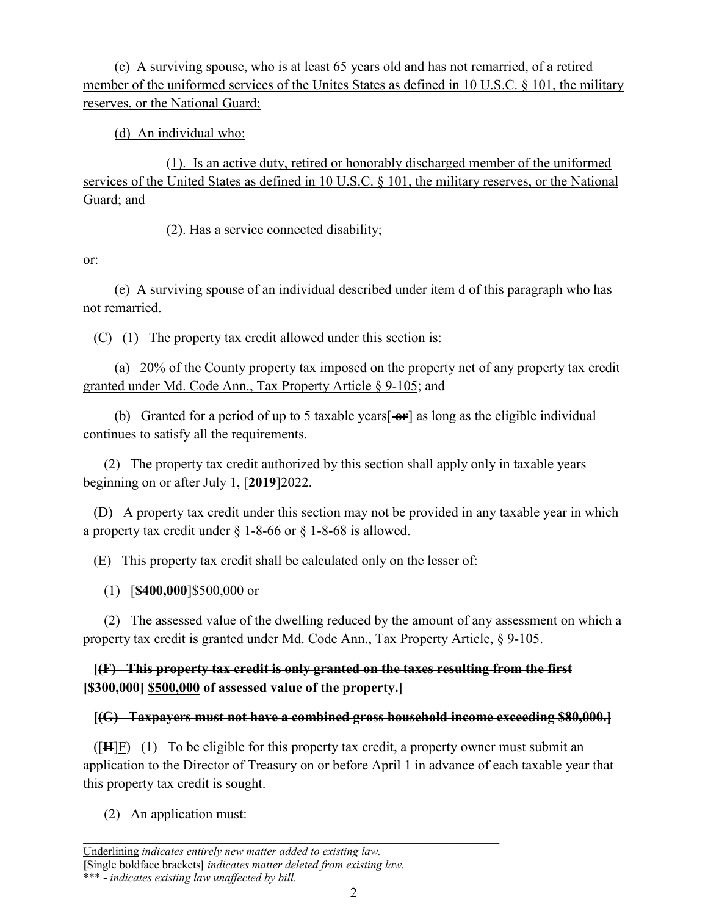(c) A surviving spouse, who is at least 65 years old and has not remarried, of a retired member of the uniformed services of the Unites States as defined in 10 U.S.C. § 101, the military reserves, or the National Guard;

(d) An individual who:

(1). Is an active duty, retired or honorably discharged member of the uniformed services of the United States as defined in 10 U.S.C. § 101, the military reserves, or the National Guard; and

(2). Has a service connected disability;

or:

 (e) A surviving spouse of an individual described under item d of this paragraph who has not remarried.

(C) (1) The property tax credit allowed under this section is:

 (a) 20% of the County property tax imposed on the property net of any property tax credit granted under Md. Code Ann., Tax Property Article § 9-105; and

 (b) Granted for a period of up to 5 taxable years[ **or**] as long as the eligible individual continues to satisfy all the requirements.

 (2) The property tax credit authorized by this section shall apply only in taxable years beginning on or after July 1, [**2019**]2022.

 (D) A property tax credit under this section may not be provided in any taxable year in which a property tax credit under § [1-8-66](http://library.amlegal.com/nxt/gateway.dll?f=jumplink$jumplink_x=Advanced$jumplink_vpc=first$jumplink_xsl=querylink.xsl$jumplink_sel=title;path;content-type;home-title;item-bookmark$jumplink_d=maryland(frederickco_md)$jumplink_q=%5bfield%20folio-destination-name:%271-8-66%27%5d$jumplink_md=target-id=JD_1-8-66) or § [1-8-68](http://library.amlegal.com/nxt/gateway.dll?f=jumplink$jumplink_x=Advanced$jumplink_vpc=first$jumplink_xsl=querylink.xsl$jumplink_sel=title;path;content-type;home-title;item-bookmark$jumplink_d=maryland(frederickco_md)$jumplink_q=%5bfield%20folio-destination-name:%271-8-66%27%5d$jumplink_md=target-id=JD_1-8-66) is allowed.

(E) This property tax credit shall be calculated only on the lesser of:

(1) [**\$400,000**]\$500,000 or

 (2) The assessed value of the dwelling reduced by the amount of any assessment on which a property tax credit is granted under Md. Code Ann., Tax Property Article, § 9-105.

## **[(F) This property tax credit is only granted on the taxes resulting from the first [\$300,000] \$500,000 of assessed value of the property.]**

## **[(G) Taxpayers must not have a combined gross household income exceeding \$80,000.]**

 ([**H**]F) (1) To be eligible for this property tax credit, a property owner must submit an application to the Director of Treasury on or before April 1 in advance of each taxable year that this property tax credit is sought.

(2) An application must: